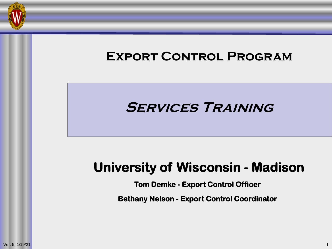

# **Export Control Program Services Training**

## **University of Wisconsin - Madison**

**Tom Demke - Export Control Officer**

**Bethany Nelson - Export Control Coordinator**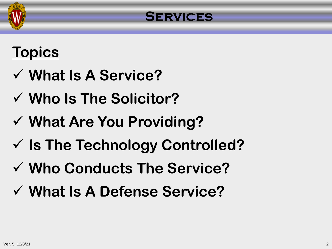

## **Topics**

- **What Is A Service?**
- **Who Is The Solicitor?**
- **What Are You Providing?**
- **Is The Technology Controlled?**
- **Who Conducts The Service?**
- **What Is A Defense Service?**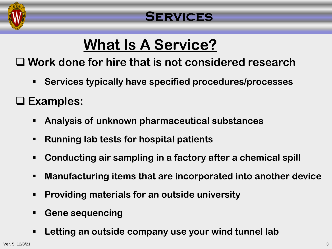

## **What Is A Service?**

**Work done for hire that is not considered research**

**Services typically have specified procedures/processes**

#### **Examples:**

- **Analysis of unknown pharmaceutical substances**
- **Running lab tests for hospital patients**
- **Conducting air sampling in a factory after a chemical spill**
- **Manufacturing items that are incorporated into another device**
- **Providing materials for an outside university**
- **Gene sequencing**
- **Letting an outside company use your wind tunnel lab**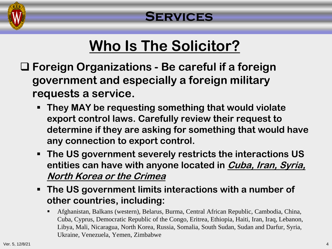

## **Who Is The Solicitor?**

- **Foreign Organizations - Be careful if a foreign government and especially a foreign military requests a service.**
	- **They MAY be requesting something that would violate export control laws. Carefully review their request to determine if they are asking for something that would have any connection to export control.**
	- **The US government severely restricts the interactions US entities can have with anyone located in Cuba, Iran, Syria, North Korea or the Crimea**
	- **The US government limits interactions with a number of other countries, including:**
		- Afghanistan, Balkans (western), Belarus, Burma, Central African Republic, Cambodia, China, Cuba, Cyprus, Democratic Republic of the Congo, Eritrea, Ethiopia, Haiti, Iran, Iraq, Lebanon, Libya, Mali, Nicaragua, North Korea, Russia, Somalia, South Sudan, Sudan and Darfur, Syria, Ukraine, Venezuela, Yemen, Zimbabwe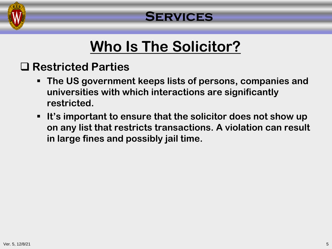

## **Who Is The Solicitor?**

## **Restricted Parties**

- **The US government keeps lists of persons, companies and universities with which interactions are significantly restricted.**
- **It's important to ensure that the solicitor does not show up on any list that restricts transactions. A violation can result in large fines and possibly jail time.**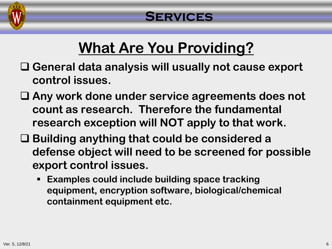

## **What Are You Providing?**

- **General data analysis will usually not cause export control issues.**
- **Any work done under service agreements does not count as research. Therefore the fundamental research exception will NOT apply to that work.**
- **Building anything that could be considered a defense object will need to be screened for possible export control issues.**
	- **Examples could include building space tracking equipment, encryption software, biological/chemical containment equipment etc.**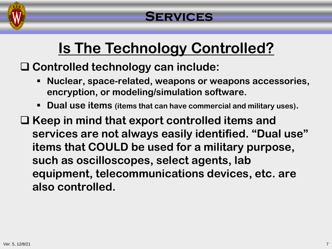

## **Is The Technology Controlled?**

**Controlled technology can include:** 

- **Nuclear, space-related, weapons or weapons accessories, encryption, or modeling/simulation software.**
- **Dual use items (items that can have commercial and military uses).**
- **Keep in mind that export controlled items and services are not always easily identified. "Dual use" items that COULD be used for a military purpose, such as oscilloscopes, select agents, lab equipment, telecommunications devices, etc. are also controlled.**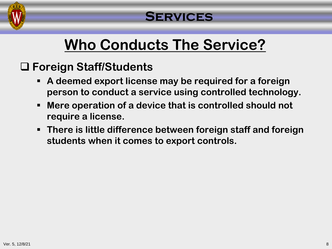

## **Who Conducts The Service?**

## **Foreign Staff/Students**

- **A deemed export license may be required for a foreign person to conduct a service using controlled technology.**
- **Mere operation of a device that is controlled should not require a license.**
- **There is little difference between foreign staff and foreign students when it comes to export controls.**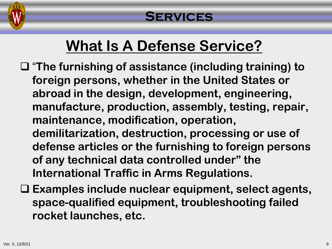

## **What Is A Defense Service?**

- "**The furnishing of assistance (including training) to foreign persons, whether in the United States or abroad in the design, development, engineering, manufacture, production, assembly, testing, repair, maintenance, modification, operation, demilitarization, destruction, processing or use of defense articles or the furnishing to foreign persons of any technical data controlled under" the International Traffic in Arms Regulations.**
- **Examples include nuclear equipment, select agents, space-qualified equipment, troubleshooting failed rocket launches, etc.**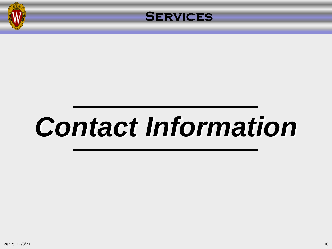



## *Contact Information*